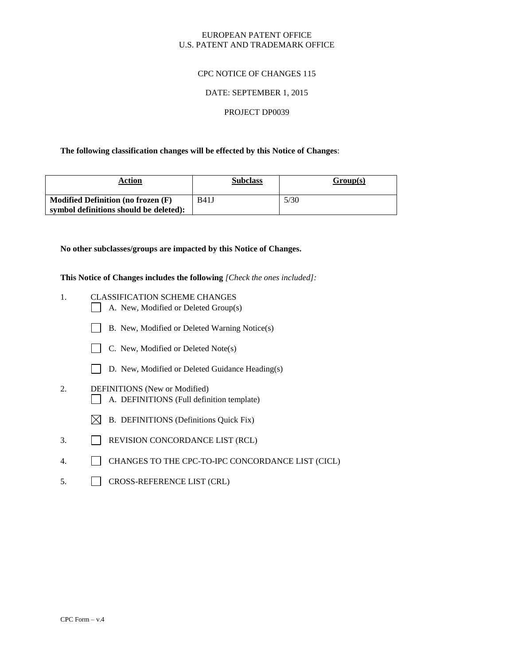## EUROPEAN PATENT OFFICE U.S. PATENT AND TRADEMARK OFFICE

# CPC NOTICE OF CHANGES 115

#### DATE: SEPTEMBER 1, 2015

#### PROJECT DP0039

#### **The following classification changes will be effected by this Notice of Changes**:

| Action                                                                       | <b>Subclass</b> | Group(s) |
|------------------------------------------------------------------------------|-----------------|----------|
| Modified Definition (no frozen (F)<br>symbol definitions should be deleted): | B41J            | 5/30     |

# **No other subclasses/groups are impacted by this Notice of Changes.**

**This Notice of Changes includes the following** *[Check the ones included]:*

- 1. CLASSIFICATION SCHEME CHANGES
	- A. New, Modified or Deleted Group(s)
	- B. New, Modified or Deleted Warning Notice(s)
	- C. New, Modified or Deleted Note(s)
	- D. New, Modified or Deleted Guidance Heading(s)
- 2. DEFINITIONS (New or Modified)
	- A. DEFINITIONS (Full definition template)
	- $\boxtimes$  B. DEFINITIONS (Definitions Quick Fix)
- 3. REVISION CONCORDANCE LIST (RCL)
- 4. CHANGES TO THE CPC-TO-IPC CONCORDANCE LIST (CICL)
- 5. CROSS-REFERENCE LIST (CRL)